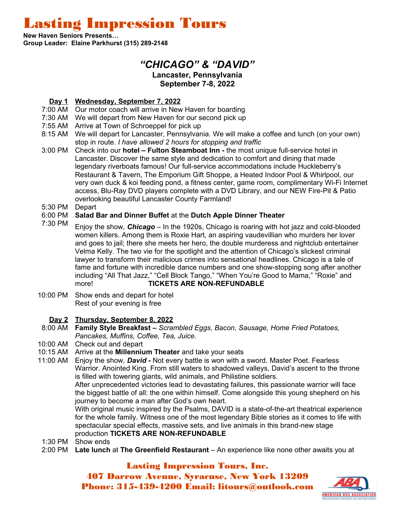Lasting Impression Tours

**New Haven Seniors Presents… Group Leader: Elaine Parkhurst (315) 289-2148**

# *"CHICAGO" & "DAVID"*

#### **Lancaster, Pennsylvania September 7-8, 2022**

## **Day 1 Wednesday, September 7, 2022**

- 7:00 AM Our motor coach will arrive in New Haven for boarding
- 7:30 AM We will depart from New Haven for our second pick up
- 7:55 AM Arrive at Town of Schroeppel for pick up
- 8:15 AM We will depart for Lancaster, Pennsylvania. We will make a coffee and lunch (on your own) stop in route. *I have allowed 2 hours for stopping and traffic*
- 3:00 PM Check into our **hotel Fulton Steamboat Inn** the most unique full-service hotel in Lancaster. Discover the same style and dedication to comfort and dining that made legendary riverboats famous! Our full-service accommodations include Huckleberry's Restaurant & Tavern, The Emporium Gift Shoppe, a Heated Indoor Pool & Whirlpool, our very own duck & koi feeding pond, a fitness center, game room, complimentary Wi-Fi Internet access, Blu-Ray DVD players complete with a DVD Library, and our NEW Fire-Pit & Patio overlooking beautiful Lancaster County Farmland!
- 5:30 PM Depart

#### 6:00 PM **Salad Bar and Dinner Buffet** at the **Dutch Apple Dinner Theater**

- 7:30 PM Enjoy the show, *Chicago* In the 1920s, Chicago is roaring with hot jazz and cold-blooded women killers. Among them is Roxie Hart, an aspiring vaudevillian who murders her lover and goes to jail; there she meets her hero, the double murderess and nightclub entertainer Velma Kelly. The two vie for the spotlight and the attention of Chicago's slickest criminal lawyer to transform their malicious crimes into sensational headlines. Chicago is a tale of fame and fortune with incredible dance numbers and one show-stopping song after another including "All That Jazz," "Cell Block Tango," "When You're Good to Mama," "Roxie" and more! **TICKETS ARE NON-REFUNDABLE**
- 10:00 PM Show ends and depart for hotel Rest of your evening is free

### **Day 2 Thursday, September 8, 2022**

- 8:00 AM **Family Style Breakfast** *Scrambled Eggs, Bacon, Sausage, Home Fried Potatoes, Pancakes, Muffins, Coffee, Tea, Juice.*
- 10:00 AM Check out and depart
- 10:15 AM Arrive at the **Millennium Theater** and take your seats
- 11:00 AM Enjoy the show, *David* Not every battle is won with a sword. Master Poet. Fearless Warrior. Anointed King. From still waters to shadowed valleys, David's ascent to the throne is filled with towering giants, wild animals, and Philistine soldiers.

After unprecedented victories lead to devastating failures, this passionate warrior will face the biggest battle of all: the one within himself. Come alongside this young shepherd on his journey to become a man after God's own heart.

With original music inspired by the Psalms, DAVID is a state-of-the-art theatrical experience for the whole family. Witness one of the most legendary Bible stories as it comes to life with spectacular special effects, massive sets, and live animals in this brand-new stage production **TICKETS ARE NON-REFUNDABLE**

- 1:30 PM Show ends
- 2:00 PM **Late lunch** at **The Greenfield Restaurant** An experience like none other awaits you at

Lasting Impression Tours, Inc. 407 Darrow Avenue, Syracuse, New York 13209 Phone: 315-439-4200 Email: litours@outlook.com